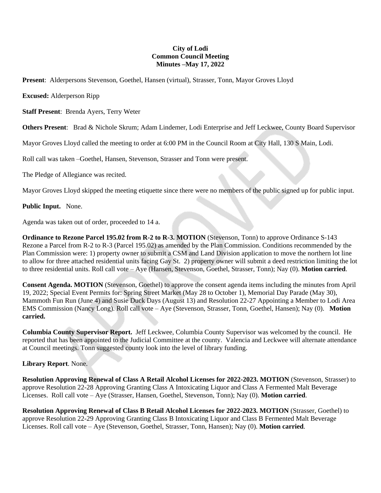## **City of Lodi Common Council Meeting Minutes –May 17, 2022**

**Present**: Alderpersons Stevenson, Goethel, Hansen (virtual), Strasser, Tonn, Mayor Groves Lloyd

**Excused:** Alderperson Ripp

**Staff Present**: Brenda Ayers, Terry Weter

**Others Present**: Brad & Nichole Skrum; Adam Lindemer, Lodi Enterprise and Jeff Leckwee, County Board Supervisor

Mayor Groves Lloyd called the meeting to order at 6:00 PM in the Council Room at City Hall, 130 S Main, Lodi.

Roll call was taken –Goethel, Hansen, Stevenson, Strasser and Tonn were present.

The Pledge of Allegiance was recited.

Mayor Groves Lloyd skipped the meeting etiquette since there were no members of the public signed up for public input.

## **Public Input.** None.

Agenda was taken out of order, proceeded to 14 a.

**Ordinance to Rezone Parcel 195.02 from R-2 to R-3. MOTION (Stevenson, Tonn) to approve Ordinance S-143** Rezone a Parcel from R-2 to R-3 (Parcel 195.02) as amended by the Plan Commission. Conditions recommended by the Plan Commission were: 1) property owner to submit a CSM and Land Division application to move the northern lot line to allow for three attached residential units facing Gay St. 2) property owner will submit a deed restriction limiting the lot to three residential units. Roll call vote – Aye (Hansen, Stevenson, Goethel, Strasser, Tonn); Nay (0). **Motion carried**.

**Consent Agenda. MOTION** (Stevenson, Goethel) to approve the consent agenda items including the minutes from April 19, 2022; Special Event Permits for: Spring Street Market (May 28 to October 1), Memorial Day Parade (May 30), Mammoth Fun Run (June 4) and Susie Duck Days (August 13) and Resolution 22-27 Appointing a Member to Lodi Area EMS Commission (Nancy Long). Roll call vote – Aye (Stevenson, Strasser, Tonn, Goethel, Hansen); Nay (0). **Motion carried.**

**Columbia County Supervisor Report.** Jeff Leckwee, Columbia County Supervisor was welcomed by the council. He reported that has been appointed to the Judicial Committee at the county. Valencia and Leckwee will alternate attendance at Council meetings. Tonn suggested county look into the level of library funding.

## **Library Report**. None.

**Resolution Approving Renewal of Class A Retail Alcohol Licenses for 2022-2023. MOTION** (Stevenson, Strasser) to approve Resolution 22-28 Approving Granting Class A Intoxicating Liquor and Class A Fermented Malt Beverage Licenses. Roll call vote – Aye (Strasser, Hansen, Goethel, Stevenson, Tonn); Nay (0). **Motion carried**.

**Resolution Approving Renewal of Class B Retail Alcohol Licenses for 2022-2023. MOTION** (Strasser, Goethel) to approve Resolution 22-29 Approving Granting Class B Intoxicating Liquor and Class B Fermented Malt Beverage Licenses. Roll call vote – Aye (Stevenson, Goethel, Strasser, Tonn, Hansen); Nay (0). **Motion carried**.